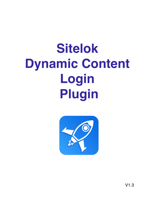# **Sitelok Dynamic Content** Login **Plugin**



 $V1.3$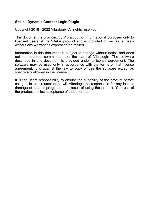#### **Sitelok Dynamic Content Login Plugin**

Copyright 2018 - 2022 Vibralogix. All rights reserved.

This document is provided by Vibralogix for informational purposes only to licensed users of the Sitelok product and is provided on an 'as is' basis without any warranties expressed or implied.

Information in this document is subject to change without notice and does not represent a commitment on the part of Vibralogix. The software described in this document is provided under a license agreement. The software may be used only in accordance with the terms of that license agreement. It is against the law to copy or use the software except as specifically allowed in the license.

It is the users responsibility to ensure the suitability of the product before using it. In no circumstances will Vibralogix be responsible for any loss or damage of data or programs as a result of using the product. Your use of the product implies acceptance of these terms.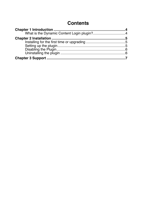### **Contents**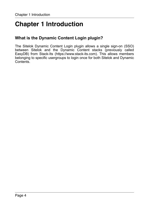## <span id="page-3-0"></span>**Chapter 1 Introduction**

#### <span id="page-3-1"></span>**What is the Dynamic Content Login plugin?**

The Sitelok Dynamic Content Login plugin allows a single sign-on (SSO) between Sitelok and the Dynamic Content stacks (previously called EasyDB) from Stack-Its (https://www.stack-its.com). This allows members belonging to specific usergroups to login once for both Sitelok and Dynamic Contents.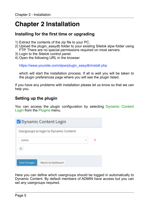## <span id="page-4-0"></span>**Chapter 2 Installation**

#### <span id="page-4-1"></span>**Installing for the first time or upgrading**

- 1) Extract the contents of the zip file to your PC.
- 2) Upload the plugin\_easydb folder to your existing Sitelok slpw folder using FTP. There are no special permissions required on most servers.
- 3) Login to the Sitelok control panel.
- 4) Open the following URL in the browser

https://www.yoursite.com/slpw/plugin\_easydb/install.php

which will start the installation process. If all is well you will be taken to the plugin preferences page where you will see the plugin listed.

If you have any problems with installation please let us know so that we can help you.

#### <span id="page-4-2"></span>**Setting up the plugin**

You can access the plugin configuration by selecting Dynamic Content Login from the Plugins menu.

|                     | <b>X</b> Dynamic Content Login         |                          |   |
|---------------------|----------------------------------------|--------------------------|---|
|                     | Usergroups to login to Dynamic Content |                          |   |
| <b>ADMIN</b>        |                                        | $\overline{\phantom{a}}$ | × |
|                     |                                        |                          |   |
| <b>Save Changes</b> | Return to dashboard                    |                          |   |

Here you can define which usergroups should be logged in automatically to Dynamic Content. By default members of ADMIN have access but you can set any usergroups required.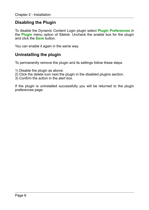#### <span id="page-5-0"></span>**Disabling the Plugin**

To disable the Dynamic Content Login plugin select **Plugin Preferences** in the **Plugin** menu option of Sitelok. Uncheck the enable box for the plugin and click the **Save** button.

You can enable it again in the same way.

#### <span id="page-5-1"></span>**Uninstalling the plugin**

To permanently remove the plugin and its settings follow these steps.

- 1) Disable the plugin as above.
- 2) Click the delete icon next the plugin in the disabled plugins section.
- 3) Confirm the action in the alert box.

If the plugin is uninstalled successfully you will be returned to the plugin preferences page.